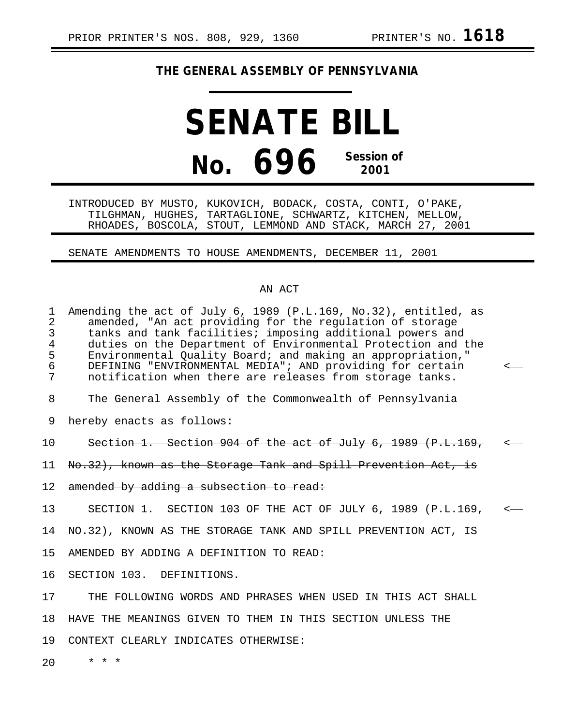## **THE GENERAL ASSEMBLY OF PENNSYLVANIA**

**SENATE BILL No. 696 Session of 2001**

INTRODUCED BY MUSTO, KUKOVICH, BODACK, COSTA, CONTI, O'PAKE, TILGHMAN, HUGHES, TARTAGLIONE, SCHWARTZ, KITCHEN, MELLOW, RHOADES, BOSCOLA, STOUT, LEMMOND AND STACK, MARCH 27, 2001

SENATE AMENDMENTS TO HOUSE AMENDMENTS, DECEMBER 11, 2001

## AN ACT

| $\mathbf 1$<br>$\overline{2}$<br>3<br>$\overline{4}$<br>5<br>6<br>7 | Amending the act of July 6, 1989 (P.L.169, No.32), entitled, as<br>amended, "An act providing for the regulation of storage<br>tanks and tank facilities; imposing additional powers and<br>duties on the Department of Environmental Protection and the<br>Environmental Quality Board; and making an appropriation,"<br>DEFINING "ENVIRONMENTAL MEDIA"; AND providing for certain<br>notification when there are releases from storage tanks. |  |
|---------------------------------------------------------------------|-------------------------------------------------------------------------------------------------------------------------------------------------------------------------------------------------------------------------------------------------------------------------------------------------------------------------------------------------------------------------------------------------------------------------------------------------|--|
| 8                                                                   | The General Assembly of the Commonwealth of Pennsylvania                                                                                                                                                                                                                                                                                                                                                                                        |  |
| 9                                                                   | hereby enacts as follows:                                                                                                                                                                                                                                                                                                                                                                                                                       |  |
| 10                                                                  | Section 1. Section 904 of the act of July 6, 1989 (P.L.169,                                                                                                                                                                                                                                                                                                                                                                                     |  |
| 11                                                                  | No.32), known as the Storage Tank and Spill Prevention Act, is                                                                                                                                                                                                                                                                                                                                                                                  |  |
| 12                                                                  | amended by adding a subsection to read:                                                                                                                                                                                                                                                                                                                                                                                                         |  |
| 13                                                                  | SECTION 1. SECTION 103 OF THE ACT OF JULY 6, 1989 (P.L.169,                                                                                                                                                                                                                                                                                                                                                                                     |  |
| 14                                                                  | NO.32), KNOWN AS THE STORAGE TANK AND SPILL PREVENTION ACT, IS                                                                                                                                                                                                                                                                                                                                                                                  |  |
| 15                                                                  | AMENDED BY ADDING A DEFINITION TO READ:                                                                                                                                                                                                                                                                                                                                                                                                         |  |
| 16                                                                  | SECTION 103. DEFINITIONS.                                                                                                                                                                                                                                                                                                                                                                                                                       |  |
| 17                                                                  | THE FOLLOWING WORDS AND PHRASES WHEN USED IN THIS ACT SHALL                                                                                                                                                                                                                                                                                                                                                                                     |  |
| 18                                                                  | HAVE THE MEANINGS GIVEN TO THEM IN THIS SECTION UNLESS THE                                                                                                                                                                                                                                                                                                                                                                                      |  |
| 19                                                                  | CONTEXT CLEARLY INDICATES OTHERWISE:                                                                                                                                                                                                                                                                                                                                                                                                            |  |
| 20                                                                  | $\star$ $\star$ $\star$                                                                                                                                                                                                                                                                                                                                                                                                                         |  |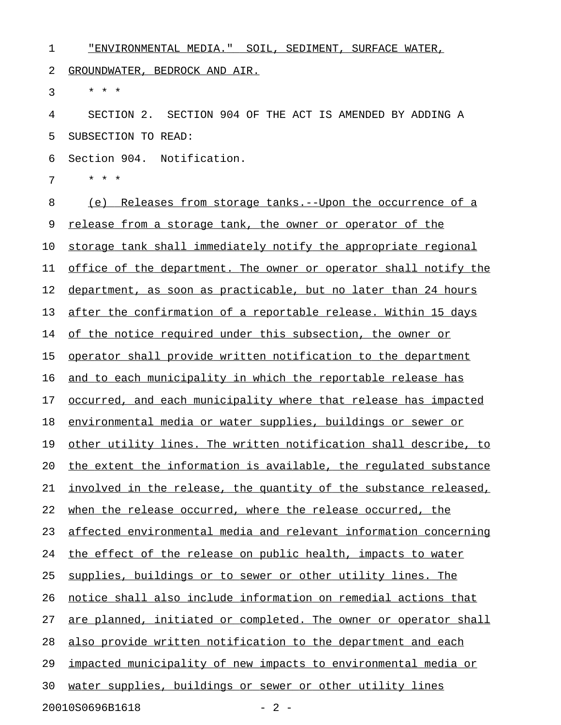| 1  | "ENVIRONMENTAL MEDIA." SOIL, SEDIMENT, SURFACE WATER,             |
|----|-------------------------------------------------------------------|
| 2  | GROUNDWATER, BEDROCK AND AIR.                                     |
| 3  | * * *                                                             |
| 4  | SECTION 2. SECTION 904 OF THE ACT IS AMENDED BY ADDING A          |
| 5  | SUBSECTION TO READ:                                               |
| 6  | Section 904. Notification.                                        |
| 7  | * * *                                                             |
| 8  | <u>(e) Releases from storage tanks.--Upon the occurrence of a</u> |
| 9  | release from a storage tank, the owner or operator of the         |
| 10 | storage tank shall immediately notify the appropriate regional    |
| 11 | office of the department. The owner or operator shall notify the  |
| 12 | department, as soon as practicable, but no later than 24 hours    |
| 13 | after the confirmation of a reportable release. Within 15 days    |
| 14 | of the notice required under this subsection, the owner or        |
| 15 | operator shall provide written notification to the department     |
| 16 | and to each municipality in which the reportable release has      |
| 17 | occurred, and each municipality where that release has impacted   |
| 18 | environmental media or water supplies, buildings or sewer or      |
| 19 | other utility lines. The written notification shall describe, to  |
| 20 | the extent the information is available, the requlated substance  |
| 21 | involved in the release, the quantity of the substance released,  |
| 22 | when the release occurred, where the release occurred, the        |
| 23 | affected environmental media and relevant information concerning  |
| 24 | the effect of the release on public health, impacts to water      |
| 25 | supplies, buildings or to sewer or other utility lines. The       |
| 26 | notice shall also include information on remedial actions that    |
| 27 | are planned, initiated or completed. The owner or operator shall  |
| 28 | also provide written notification to the department and each      |
| 29 | impacted municipality of new impacts to environmental media or    |
| 30 | water supplies, buildings or sewer or other utility lines         |
|    | 20010S0696B1618<br>$-2-$                                          |